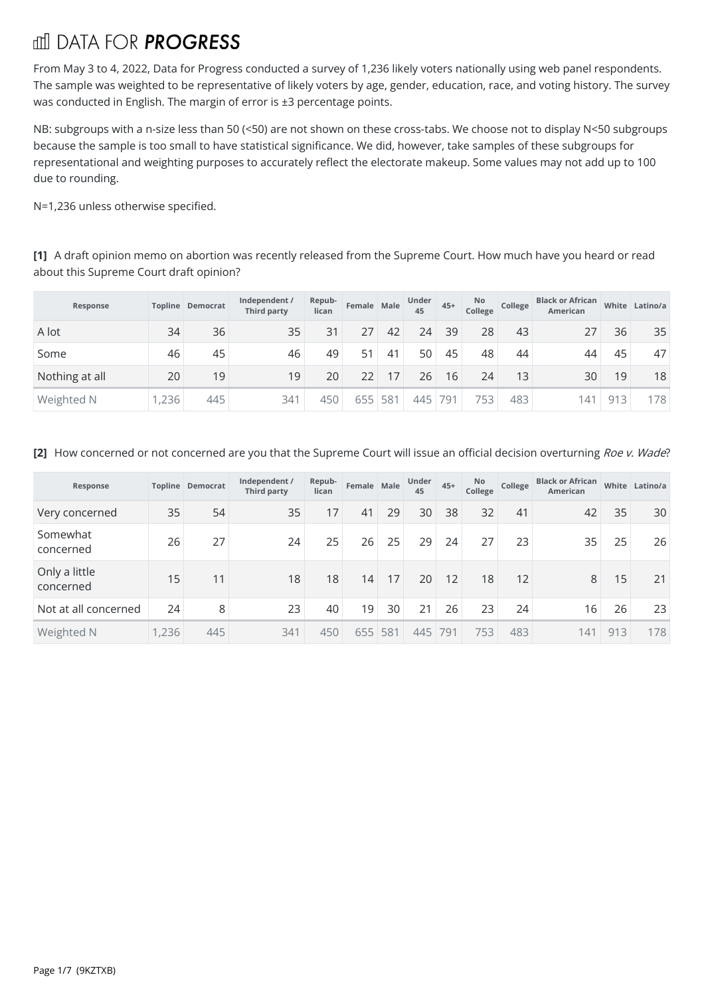# fill DATA FOR **PROGRESS**

From May 3 to 4, 2022, Data for Progress conducted a survey of 1,236 likely voters nationally using web panel respondents. The sample was weighted to be representative of likely voters by age, gender, education, race, and voting history. The survey was conducted in English. The margin of error is ±3 percentage points.

NB: subgroups with a n-size less than 50 (<50) are not shown on these cross-tabs. We choose not to display N<50 subgroups because the sample is too small to have statistical significance. We did, however, take samples of these subgroups for representational and weighting purposes to accurately reflect the electorate makeup. Some values may not add up to 100 due to rounding.

N=1,236 unless otherwise specified.

**[1]** A draft opinion memo on abortion was recently released from the Supreme Court. How much have you heard or read about this Supreme Court draft opinion?

| Response       |      | Topline Democrat | Independent /<br><b>Third party</b> | Repub-<br>lican | Female Male |    | Under<br>45 | $45+$ | <b>No</b><br>College | College | <b>Black or African</b><br><b>American</b> |     | White Latino/a |
|----------------|------|------------------|-------------------------------------|-----------------|-------------|----|-------------|-------|----------------------|---------|--------------------------------------------|-----|----------------|
| A lot          | 34   | 36               | 35                                  | 31              | 27          | 42 | 24          | 39    | 28                   | 43      |                                            | 36  | 35             |
| Some           | 46   | 45               | 46                                  | 49              | 51          | 41 | 50          | 45    | 48                   | 44      | 44                                         | 45  | 47             |
| Nothing at all | 20   | 19               | 19                                  | 20              | 22          |    | 26          | 16    | 24                   | 13      | 30                                         | 19  | 18             |
| Weighted N     | ,236 | 445              | 341                                 | 450             | 655 581     |    | 445         | 791   | 753                  | 483     | 41                                         | 913 | 178            |

## [2] How concerned or not concerned are you that the Supreme Court will issue an official decision overturning Roe v. Wade?

| Response                   |       | <b>Topline Democrat</b> | Independent /<br>Third party | Repub-<br>lican | Female Male |         | Under<br>45 | $45+$ | <b>No</b><br>College | College | <b>Black or African</b><br><b>American</b> |     | White Latino/a |
|----------------------------|-------|-------------------------|------------------------------|-----------------|-------------|---------|-------------|-------|----------------------|---------|--------------------------------------------|-----|----------------|
| Very concerned             | 35    | 54                      | 35                           | 17              | 41          | 29      | 30          | 38    | 32                   | 41      | 42                                         | 35  | 30             |
| Somewhat<br>concerned      | 26    | 27                      | 24                           | 25              | 26          | 25      | 29          | 24    | 27                   | 23      | 35                                         | 25  | 26             |
| Only a little<br>concerned | 15    | 11                      | 18                           | 18              | 14          | 17      | 20          | 12    | 18                   | 12      | 8                                          | 15  | 21             |
| Not at all concerned       | 24    | 8                       | 23                           | 40              | 19          | 30      | 21          | 26    | 23                   | 24      | 16                                         | 26  | 23             |
| Weighted N                 | 1,236 | 445                     | 341                          | 450             |             | 655 581 | 445         | 791   | 753                  | 483     | 141                                        | 913 | 178            |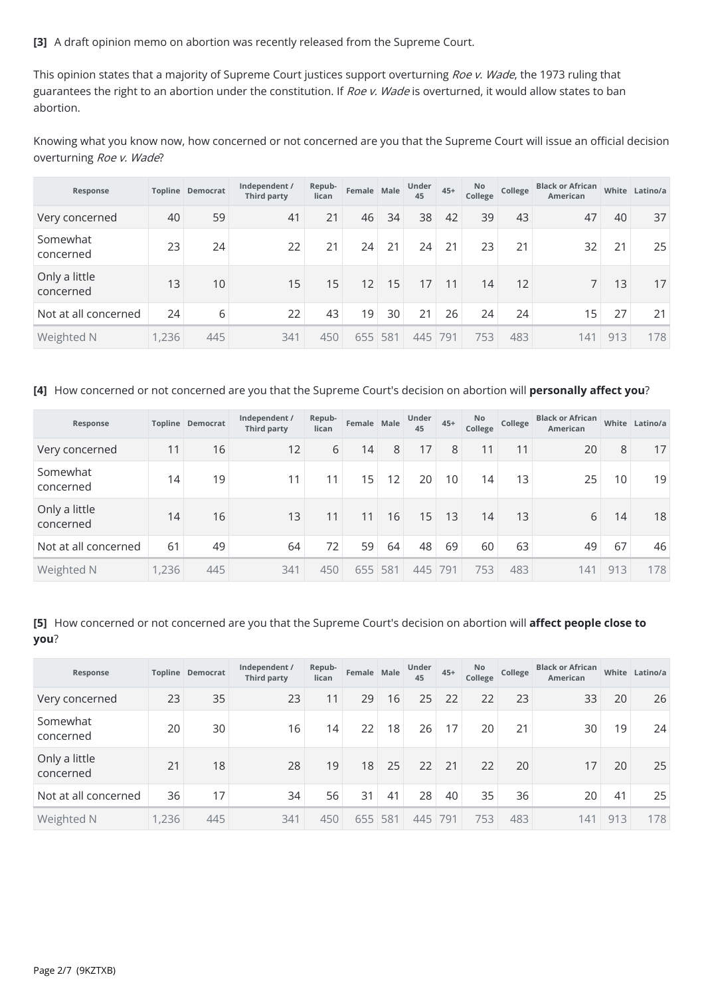**[3]** A draft opinion memo on abortion was recently released from the Supreme Court.

This opinion states that a majority of Supreme Court justices support overturning Roe v. Wade, the 1973 ruling that guarantees the right to an abortion under the constitution. If Roe v. Wade is overturned, it would allow states to ban abortion.

Knowing what you know now, how concerned or not concerned are you that the Supreme Court will issue an official decision overturning Roe v. Wade?

| Response                   |       | Topline Democrat | Independent /<br><b>Third party</b> | Repub-<br>lican | Female Male |    | Under<br>45 | $45+$ | <b>No</b><br>College | College | <b>Black or African</b><br><b>American</b> |     | White Latino/a |
|----------------------------|-------|------------------|-------------------------------------|-----------------|-------------|----|-------------|-------|----------------------|---------|--------------------------------------------|-----|----------------|
| Very concerned             | 40    | 59               | 41                                  | 21              | 46          | 34 | 38          | 42    | 39                   | 43      | 47                                         | 40  | 37             |
| Somewhat<br>concerned      | 23    | 24               | 22                                  | 21              | 24          | 21 | 24          | 21    | 23                   | 21      | 32                                         | 21  | 25             |
| Only a little<br>concerned | 13    | 10               | 15                                  | 15              | 12          | 15 | 17          | 11    | 14                   | 12      | 7                                          | 13  | 17             |
| Not at all concerned       | 24    | 6                | 22                                  | 43              | 19          | 30 | 21          | 26    | 24                   | 24      | 15                                         | 27  | 21             |
| Weighted N                 | 1,236 | 445              | 341                                 | 450             | 655 581     |    | 445         | 791   | 753                  | 483     | 141                                        | 913 | 178            |

#### **[4]** How concerned or not concerned are you that the Supreme Court's decision on abortion will **personally affect you**?

| Response                   |      | <b>Topline Democrat</b> | Independent /<br>Third party | Repub-<br>lican | Female Male     |    | Under<br>45 | $45+$ | No<br>College   | College | <b>Black or African</b><br><b>American</b> |     | White Latino/a |
|----------------------------|------|-------------------------|------------------------------|-----------------|-----------------|----|-------------|-------|-----------------|---------|--------------------------------------------|-----|----------------|
| Very concerned             | 11   | 16                      | 12                           | 6               | 14              | 8  | 17          | 8     | 11              | 11      | 20                                         | 8   | 17             |
| Somewhat<br>concerned      | 14   | 19                      | 11                           | 11              | 15 <sub>1</sub> | 12 | 20          | 10    | 14 <sub>1</sub> | 13      | 25                                         | 10  | 19             |
| Only a little<br>concerned | 14   | 16                      | 13                           | 11              | 11              | 16 | 15          | 13    | 14              | 13      | 6                                          | 14  | 18             |
| Not at all concerned       | 61   | 49                      | 64                           | 72              | 59              | 64 | 48          | 69    | 60              | 63      | 49                                         | 67  | 46             |
| Weighted N                 | ,236 | 445                     | 341                          | 450             | 655 581         |    | 445         | 791   | 753             | 483     | 141                                        | 913 | 178            |

**[5]** How concerned or not concerned are you that the Supreme Court's decision on abortion will **affect people close to you**?

| Response                   |       | Topline Democrat | Independent /<br>Third party | Repub-<br>lican | Female Male |         | Under<br>45 | $45+$ | <b>No</b><br>College | College | <b>Black or African</b><br><b>American</b> |     | White Latino/a |
|----------------------------|-------|------------------|------------------------------|-----------------|-------------|---------|-------------|-------|----------------------|---------|--------------------------------------------|-----|----------------|
| Very concerned             | 23    | 35               | 23                           | 11              | 29          | 16      | 25          | 22    | 22                   | 23      | 33                                         | 20  | 26             |
| Somewhat<br>concerned      | 20    | 30               | 16                           | 14              | 22          | 18      | 26          | 17    | 20                   | 21      | 30                                         | 19  | 24             |
| Only a little<br>concerned | 21    | 18               | 28                           | 19              | 18          | 25      | 22          | 21    | 22                   | 20      | 17                                         | 20  | 25             |
| Not at all concerned       | 36    | 17 <sub>1</sub>  | 34                           | 56              | 31          | 41      | 28          | 40    | 35                   | 36      | 20                                         | 41  | 25             |
| Weighted N                 | 1,236 | 445              | 341                          | 450             |             | 655 581 | 445         | 791   | 753                  | 483     | 141                                        | 913 | 178            |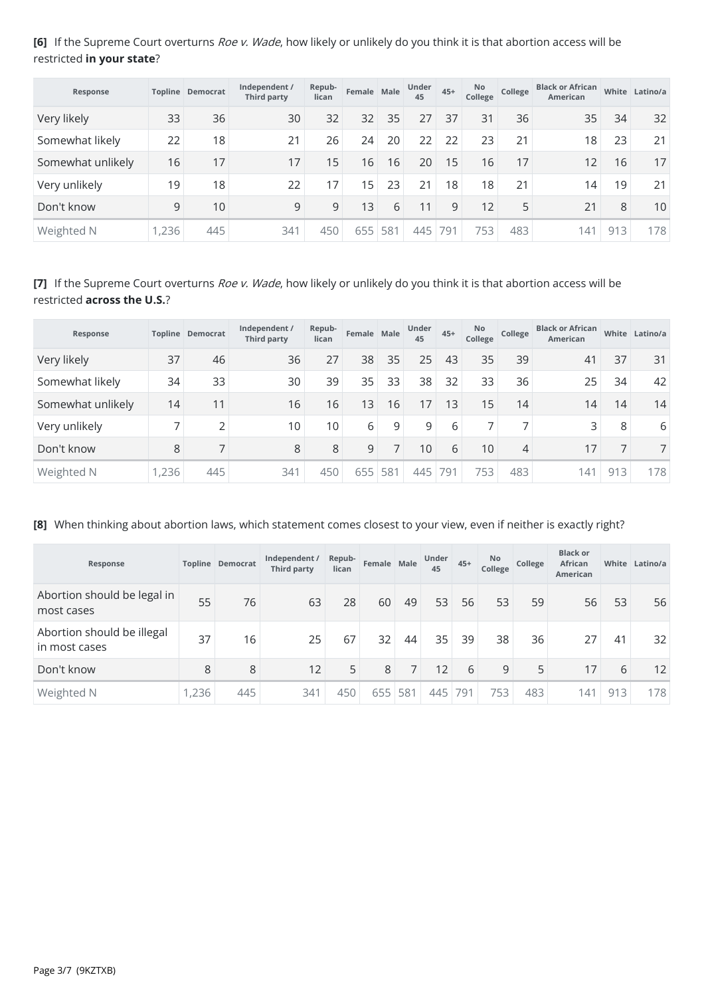## **[6]** If the Supreme Court overturns Roe v. Wade, how likely or unlikely do you think it is that abortion access will be restricted **in your state**?

| Response          |       | Topline Democrat | Independent /<br>Third party | Repub-<br>lican | Female Male     |    | Under<br>45 | $45+$ | <b>No</b><br>College | College | <b>Black or African</b><br><b>American</b> |     | White Latino/a |
|-------------------|-------|------------------|------------------------------|-----------------|-----------------|----|-------------|-------|----------------------|---------|--------------------------------------------|-----|----------------|
| Very likely       | 33    | 36               | 30                           | 32              | 32              | 35 | 27          | 37    | 31                   | 36      | 35                                         | 34  | 32             |
| Somewhat likely   | 22    | 18               | 21                           | 26              | 24              | 20 | 22          | 22    | 23                   | 21      | 18                                         | 23  | 21             |
| Somewhat unlikely | 16    | 17               | 17                           | 15              | 16              | 16 | 20          | 15    | 16 <sub>1</sub>      | 17      | 12                                         | 16  | 17             |
| Very unlikely     | 19    | 18               | 22                           | 17              | 15 <sub>1</sub> | 23 | 21          | 18    | 18 <sub>1</sub>      | 21      | 14                                         | 19  | 21             |
| Don't know        | 9     | 10 <sup>°</sup>  | 9                            | 9               | 13              | 6  | 11          | 9     | 12                   | 5       | 21                                         | 8   | 10             |
| Weighted N        | 1,236 | 445              | 341                          | 450             | 655 581         |    | 445         | 791   | 753                  | 483     | 141                                        | 913 | 178            |

**[7]** If the Supreme Court overturns Roe v. Wade, how likely or unlikely do you think it is that abortion access will be restricted **across the U.S.**?

| Response          |      | Topline Democrat | Independent /<br><b>Third party</b> | Repub-<br>lican | Female Male     |    | Under<br>45 | $45+$ | <b>No</b><br>College | College | <b>Black or African</b><br><b>American</b> |                          | White Latino/a |
|-------------------|------|------------------|-------------------------------------|-----------------|-----------------|----|-------------|-------|----------------------|---------|--------------------------------------------|--------------------------|----------------|
| Very likely       | 37   | 46               | 36                                  | 27              | 38              | 35 | 25          | 43    | 35                   | 39      | 41                                         | 37                       | 31             |
| Somewhat likely   | 34   | 33               | 30                                  | 39              | 35              | 33 | 38          | 32    | 33                   | 36      | 25                                         | 34                       | 42             |
| Somewhat unlikely | 14   | 11               | 16                                  | 16              | 13 <sup>1</sup> | 16 | 17          | 13    | 15 <sub>1</sub>      | 14      | 14                                         | 14                       | 14             |
| Very unlikely     |      | 2                | 10                                  | 10              | 6               | 9  | 9           | 6     |                      |         | 3                                          | 8                        | 6              |
| Don't know        | 8    | 7                | 8                                   | 8               | 9               |    | 10          | 6     | 10                   | 4       | 17                                         | $\overline{\phantom{1}}$ |                |
| Weighted N        | ,236 | 445              | 341                                 | 450             | 655 581         |    | 445         | 791   | 753                  | 483     | 141                                        | 913                      | 178            |

### **[8]** When thinking about abortion laws, which statement comes closest to your view, even if neither is exactly right?

| Response                                    |      | <b>Topline Democrat</b> | Independent /<br>Third party | Repub-<br>lican | Female Male |     | Under<br>45 | $45+$ | No<br>College | College | <b>Black or</b><br><b>African</b><br>American | White | Latino/a |
|---------------------------------------------|------|-------------------------|------------------------------|-----------------|-------------|-----|-------------|-------|---------------|---------|-----------------------------------------------|-------|----------|
| Abortion should be legal in<br>most cases   | 55   | 76                      | 63                           | 28              | 60          | 49  | 53          | 56    | 53            | 59      | 56                                            | 53    | 56       |
| Abortion should be illegal<br>in most cases | 37   | 16                      | 25                           | 67              | 32          | 44  | 35          | 39    | 38            | 36      | 27                                            | 41    | 32       |
| Don't know                                  | 8    | 8                       | 12                           | 5               | 8           |     | 12          | 6     | 9             | 5       | 17                                            | 6     | 12       |
| Weighted N                                  | ,236 | 445                     | 341                          | 450             | 655         | 581 | 445         | 791   | 753           | 483     | 141                                           | 913   | 178      |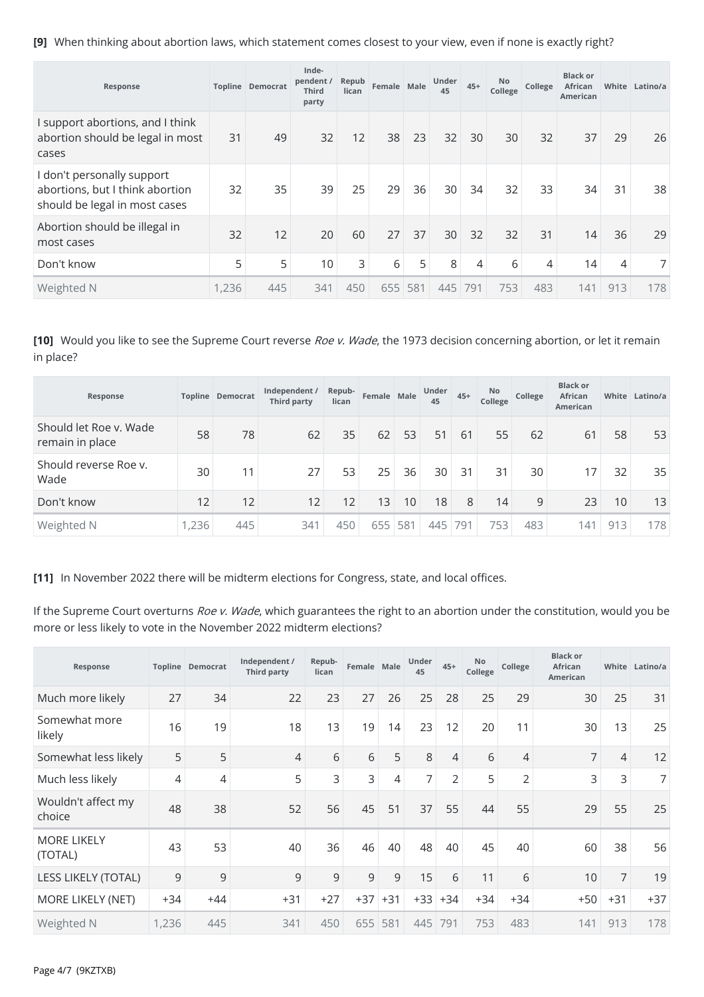**[9]** When thinking about abortion laws, which statement comes closest to your view, even if none is exactly right?

| Response                                                                                       |       | <b>Topline Democrat</b> | Inde-<br>pendent /<br><b>Third</b><br>party | Repub<br>lican | Female Male |     | Under<br>45 | $45+$ | No<br>College | College | <b>Black or</b><br><b>African</b><br><b>American</b> | White | Latino/a |
|------------------------------------------------------------------------------------------------|-------|-------------------------|---------------------------------------------|----------------|-------------|-----|-------------|-------|---------------|---------|------------------------------------------------------|-------|----------|
| I support abortions, and I think<br>abortion should be legal in most<br>cases                  | 31    | 49                      | 32                                          | 12             | 38          | 23  | 32          | 30    | 30            | 32      | 37                                                   | 29    | 26       |
| I don't personally support<br>abortions, but I think abortion<br>should be legal in most cases | 32    | 35                      | 39                                          | 25             | 29          | 36  | 30          | 34    | 32            | 33      | 34                                                   | 31    | 38       |
| Abortion should be illegal in<br>most cases                                                    | 32    | 12                      | 20                                          | 60             | 27          | 37  | 30          | 32    | 32            | 31      | 14                                                   | 36    | 29       |
| Don't know                                                                                     | 5     | 5                       | 10                                          | 3              | 6           | 5   | 8           | 4     | 6             | 4       | 14 <sub>1</sub>                                      | 4     | 7        |
| Weighted N                                                                                     | 1,236 | 445                     | 341                                         | 450            | 655         | 581 | 445         | 791   | 753           | 483     | 141                                                  | 913   | 178      |

**[10]** Would you like to see the Supreme Court reverse Roe v. Wade, the 1973 decision concerning abortion, or let it remain in place?

| Response                                  |      | <b>Topline Democrat</b> | Independent /<br>Third party | Repub-<br>lican | Female Male |     | Under<br>45 | $45+$ | <b>No</b><br>College | College | <b>Black or</b><br><b>African</b><br><b>American</b> | White | Latino/a |
|-------------------------------------------|------|-------------------------|------------------------------|-----------------|-------------|-----|-------------|-------|----------------------|---------|------------------------------------------------------|-------|----------|
| Should let Roe v. Wade<br>remain in place | 58   | 78                      | 62                           | 35              | 62          | 53  | 51          | 61    | 55                   | 62      | 61                                                   | 58    | 53       |
| Should reverse Roe v.<br>Wade             | 30   | 11                      | 27                           | 53              | 25          | 36  | 30          | 31    | 31                   | 30      | 17                                                   | 32    | 35       |
| Don't know                                | 12   | 12                      | 12                           | 12              | 13          | 10  | 18          | 8     | 14                   | 9       | 23                                                   | 10    | 13       |
| Weighted N                                | ,236 | 445                     | 341                          | 450             | 655         | 581 | 445         | 791   | 753                  | 483     | 141                                                  | 913   | 178      |

**[11]** In November 2022 there will be midterm elections for Congress, state, and local offices.

If the Supreme Court overturns Roe v. Wade, which guarantees the right to an abortion under the constitution, would you be more or less likely to vote in the November 2022 midterm elections?

| Response                      |       | Topline Democrat | Independent /<br>Third party | Repub-<br>lican | Female Male |       | Under<br>45    | $45+$          | No<br>College | College | <b>Black or</b><br>African<br>American |                | White Latino/a |
|-------------------------------|-------|------------------|------------------------------|-----------------|-------------|-------|----------------|----------------|---------------|---------|----------------------------------------|----------------|----------------|
| Much more likely              | 27    | 34               | 22                           | 23              | 27          | 26    | 25             | 28             | 25            | 29      | 30                                     | 25             | 31             |
| Somewhat more<br>likely       | 16    | 19               | 18                           | 13              | 19          | 14    | 23             | 12             | 20            | 11      | 30                                     | 13             | 25             |
| Somewhat less likely          | 5     | 5                | $\overline{4}$               | 6               | 6           | 5     | 8              | $\overline{4}$ | 6             | 4       | 7                                      | $\overline{4}$ | 12             |
| Much less likely              | 4     | 4                | 5                            | 3               | 3           | 4     | $\overline{7}$ | $\overline{2}$ | 5             | 2       | 3                                      | 3              | 7              |
| Wouldn't affect my<br>choice  | 48    | 38               | 52                           | 56              | 45          | 51    | 37             | 55             | 44            | 55      | 29                                     | 55             | 25             |
| <b>MORE LIKELY</b><br>(TOTAL) | 43    | 53               | 40                           | 36              | 46          | 40    | 48             | 40             | 45            | 40      | 60                                     | 38             | 56             |
| LESS LIKELY (TOTAL)           | 9     | 9                | 9                            | 9               | 9           | 9     | 15             | 6              | 11            | 6       | 10                                     | $\overline{7}$ | 19             |
| MORE LIKELY (NET)             | $+34$ | $+44$            | $+31$                        | $+27$           | $+37$       | $+31$ | $+33$          | $+34$          | $+34$         | $+34$   | $+50$                                  | $+31$          | $+37$          |
| Weighted N                    | 1,236 | 445              | 341                          | 450             | 655         | 581   | 445            | 791            | 753           | 483     | 141                                    | 913            | 178            |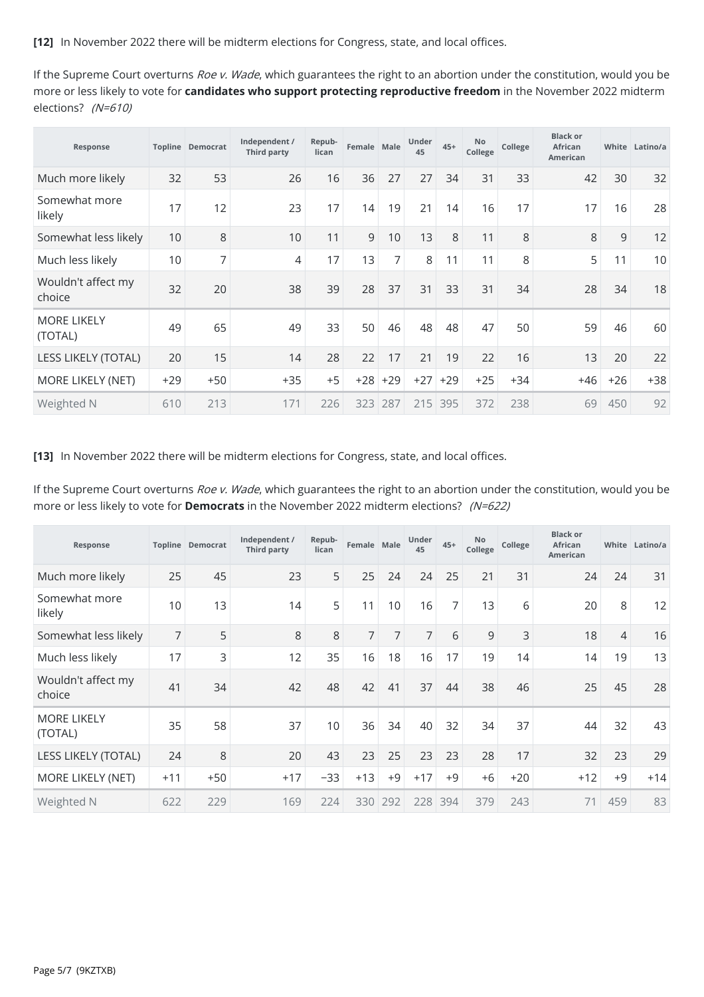**[12]** In November 2022 there will be midterm elections for Congress, state, and local offices.

If the Supreme Court overturns Roe v. Wade, which guarantees the right to an abortion under the constitution, would you be more or less likely to vote for **candidates who support protecting reproductive freedom** in the November 2022 midterm elections? (N=610)

| Response                      |       | Topline Democrat | Independent /<br>Third party | Repub-<br>lican | Female Male |                | Under<br>45 | $45+$ | No<br>College | College | <b>Black or</b><br><b>African</b><br><b>American</b> |       | White Latino/a |
|-------------------------------|-------|------------------|------------------------------|-----------------|-------------|----------------|-------------|-------|---------------|---------|------------------------------------------------------|-------|----------------|
| Much more likely              | 32    | 53               | 26                           | 16              | 36          | 27             | 27          | 34    | 31            | 33      | 42                                                   | 30    | 32             |
| Somewhat more<br>likely       | 17    | 12               | 23                           | 17              | 14          | 19             | 21          | 14    | 16            | 17      | 17                                                   | 16    | 28             |
| Somewhat less likely          | 10    | 8                | 10                           | 11              | 9           | 10             | 13          | 8     | 11            | 8       | 8                                                    | 9     | 12             |
| Much less likely              | 10    | 7                | 4                            | 17              | 13          | $\overline{7}$ | 8           | 11    | 11            | 8       | 5                                                    | 11    | 10             |
| Wouldn't affect my<br>choice  | 32    | 20               | 38                           | 39              | 28          | 37             | 31          | 33    | 31            | 34      | 28                                                   | 34    | 18             |
| <b>MORE LIKELY</b><br>(TOTAL) | 49    | 65               | 49                           | 33              | 50          | 46             | 48          | 48    | 47            | 50      | 59                                                   | 46    | 60             |
| LESS LIKELY (TOTAL)           | 20    | 15               | 14                           | 28              | 22          | 17             | 21          | 19    | 22            | 16      | 13                                                   | 20    | 22             |
| MORE LIKELY (NET)             | $+29$ | $+50$            | $+35$                        | $+5$            | $+28$       | $+29$          | $+27$       | $+29$ | $+25$         | $+34$   | $+46$                                                | $+26$ | $+38$          |
| Weighted N                    | 610   | 213              | 171                          | 226             | 323         | 287            | 215         | 395   | 372           | 238     | 69                                                   | 450   | 92             |

**[13]** In November 2022 there will be midterm elections for Congress, state, and local offices.

If the Supreme Court overturns Roe v. Wade, which guarantees the right to an abortion under the constitution, would you be more or less likely to vote for **Democrats** in the November 2022 midterm elections? (N=622)

| Response                      |                | Topline Democrat | Independent /<br>Third party | Repub-<br>lican | Female Male    |                | Under<br>45    | $45+$ | No<br>College | College | <b>Black or</b><br>African<br>American |                | White Latino/a |
|-------------------------------|----------------|------------------|------------------------------|-----------------|----------------|----------------|----------------|-------|---------------|---------|----------------------------------------|----------------|----------------|
| Much more likely              | 25             | 45               | 23                           | 5               | 25             | 24             | 24             | 25    | 21            | 31      | 24                                     | 24             | 31             |
| Somewhat more<br>likely       | 10             | 13               | 14                           | 5               | 11             | 10             | 16             | 7     | 13            | 6       | 20                                     | 8              | 12             |
| Somewhat less likely          | $\overline{7}$ | 5                | 8                            | 8               | $\overline{7}$ | $\overline{7}$ | $\overline{7}$ | 6     | 9             | 3       | 18                                     | $\overline{4}$ | 16             |
| Much less likely              | 17             | 3                | 12                           | 35              | 16             | 18             | 16             | 17    | 19            | 14      | 14                                     | 19             | 13             |
| Wouldn't affect my<br>choice  | 41             | 34               | 42                           | 48              | 42             | 41             | 37             | 44    | 38            | 46      | 25                                     | 45             | 28             |
| <b>MORE LIKELY</b><br>(TOTAL) | 35             | 58               | 37                           | 10              | 36             | 34             | 40             | 32    | 34            | 37      | 44                                     | 32             | 43             |
| LESS LIKELY (TOTAL)           | 24             | 8                | 20                           | 43              | 23             | 25             | 23             | 23    | 28            | 17      | 32                                     | 23             | 29             |
| MORE LIKELY (NET)             | $+11$          | $+50$            | $+17$                        | $-33$           | $+13$          | $+9$           | $+17$          | $+9$  | $+6$          | $+20$   | $+12$                                  | $+9$           | $+14$          |
| Weighted N                    | 622            | 229              | 169                          | 224             | 330            | 292            | 228            | 394   | 379           | 243     | 71                                     | 459            | 83             |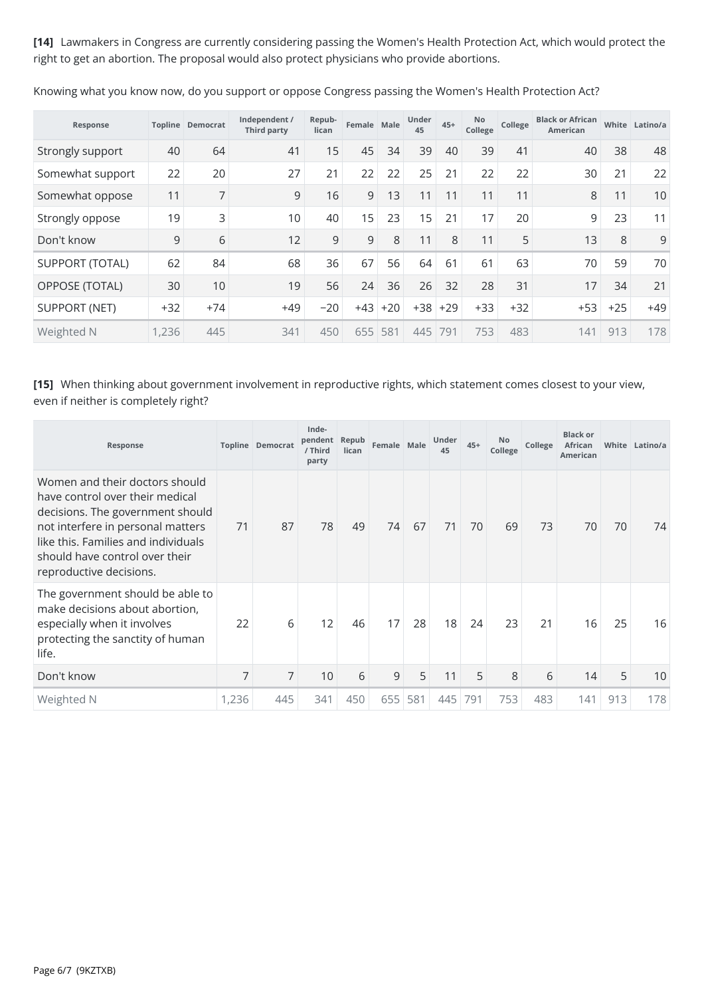**[14]** Lawmakers in Congress are currently considering passing the Women's Health Protection Act, which would protect the right to get an abortion. The proposal would also protect physicians who provide abortions.

| Response               |       | Topline Democrat | Independent /<br>Third party | Repub-<br>lican | Female Male |       | Under<br>45 | $45+$ | No<br>College | College | <b>Black or African</b><br>American |       | White Latino/a |
|------------------------|-------|------------------|------------------------------|-----------------|-------------|-------|-------------|-------|---------------|---------|-------------------------------------|-------|----------------|
| Strongly support       | 40    | 64               | 41                           | 15              | 45          | 34    | 39          | 40    | 39            | 41      | 40                                  | 38    | 48             |
| Somewhat support       | 22    | 20               | 27                           | 21              | 22          | 22    | 25          | 21    | 22            | 22      | 30                                  | 21    | 22             |
| Somewhat oppose        | 11    | 7                | 9                            | 16              | 9           | 13    | 11          | 11    | 11            | 11      | 8                                   | 11    | 10             |
| Strongly oppose        | 19    | 3                | 10                           | 40              | 15          | 23    | 15          | 21    | 17            | 20      | 9                                   | 23    | 11             |
| Don't know             | 9     | 6                | 12                           | 9               | 9           | 8     | 11          | 8     | 11            | 5       | 13                                  | 8     | 9              |
| <b>SUPPORT (TOTAL)</b> | 62    | 84               | 68                           | 36              | 67          | 56    | 64          | 61    | 61            | 63      | 70                                  | 59    | 70             |
| OPPOSE (TOTAL)         | 30    | 10               | 19                           | 56              | 24          | 36    | 26          | 32    | 28            | 31      | 17                                  | 34    | 21             |
| <b>SUPPORT (NET)</b>   | $+32$ | $+74$            | $+49$                        | $-20$           | $+43$       | $+20$ | $+38$       | $+29$ | $+33$         | $+32$   | $+53$                               | $+25$ | $+49$          |
| Weighted N             | 1,236 | 445              | 341                          | 450             | 655         | 581   | 445         | 791   | 753           | 483     | 141                                 | 913   | 178            |

Knowing what you know now, do you support or oppose Congress passing the Women's Health Protection Act?

**[15]** When thinking about government involvement in reproductive rights, which statement comes closest to your view, even if neither is completely right?

| Response                                                                                                                                                                                                                                       |       | Topline Democrat | Inde-<br>pendent<br>/ Third<br>party | Repub<br>lican | Female Male |     | Under<br>45 | $45+$ | No<br>College | College | <b>Black or</b><br>African<br>American | White | Latino/a |
|------------------------------------------------------------------------------------------------------------------------------------------------------------------------------------------------------------------------------------------------|-------|------------------|--------------------------------------|----------------|-------------|-----|-------------|-------|---------------|---------|----------------------------------------|-------|----------|
| Women and their doctors should<br>have control over their medical<br>decisions. The government should<br>not interfere in personal matters<br>like this. Families and individuals<br>should have control over their<br>reproductive decisions. | 71    | 87               | 78                                   | 49             | 74          | 67  | 71          | 70    | 69            | 73      | 70                                     | 70    | 74       |
| The government should be able to<br>make decisions about abortion,<br>especially when it involves<br>protecting the sanctity of human<br>life.                                                                                                 | 22    | 6                | 12                                   | 46             | 17          | 28  | 18          | 24    | 23            | 21      | 16                                     | 25    | 16       |
| Don't know                                                                                                                                                                                                                                     | 7     | 7                | 10                                   | 6              | 9           | 5   | 11          | 5     | 8             | 6       | 14                                     | 5     | 10       |
| Weighted N                                                                                                                                                                                                                                     | 1,236 | 445              | 341                                  | 450            | 655         | 581 | 445         | 791   | 753           | 483     | 141                                    | 913   | 178      |